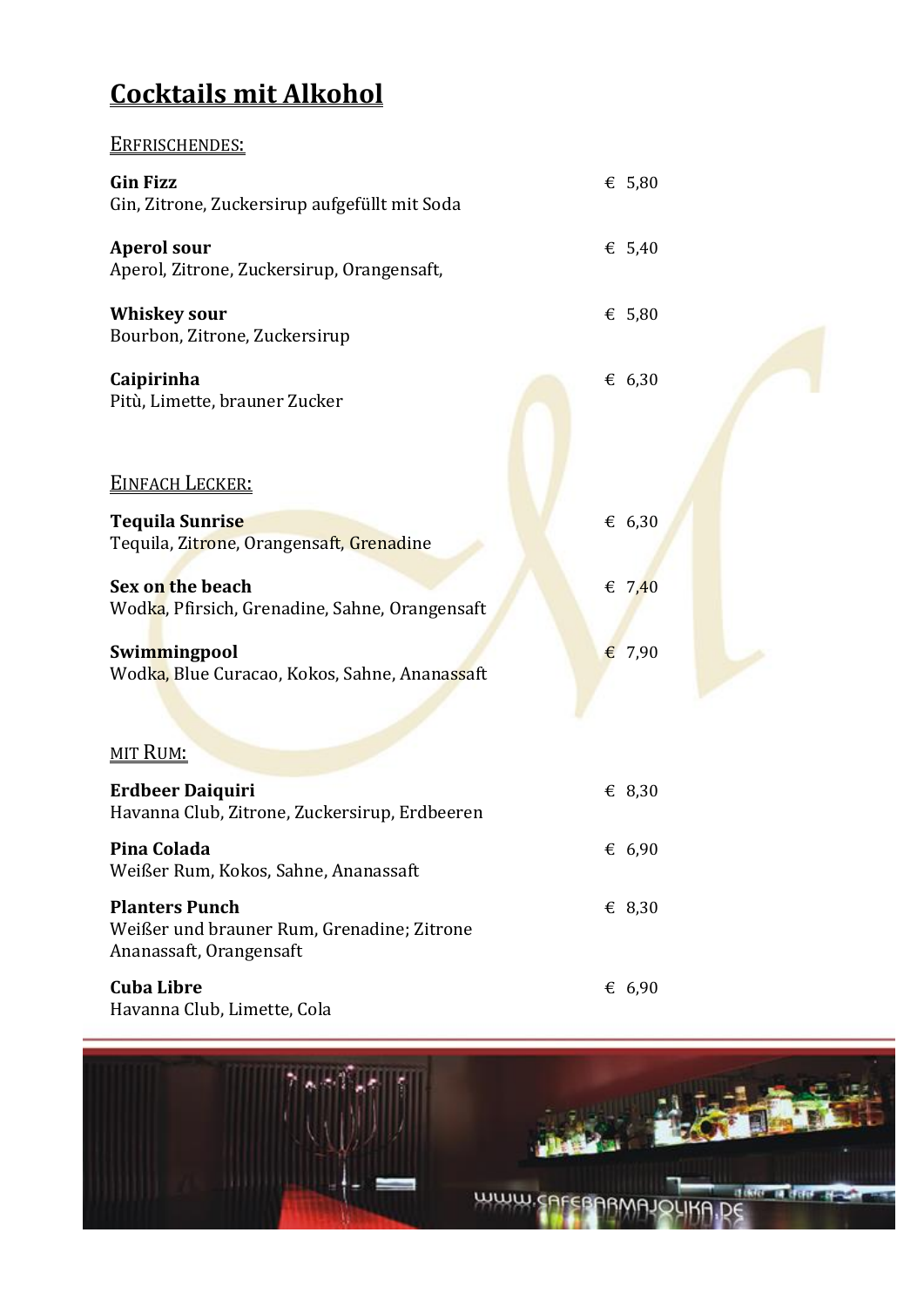### **Cocktails mit Alkohol**

ERFRISCHENDES:

### **Gin Fizz**  $\epsilon$  5,80 Gin, Zitrone, Zuckersirup aufgefüllt mit Soda **Aperol sour** € 5,40 Aperol, Zitrone, Zuckersirup, Orangensaft, **Whiskey sour**  $\epsilon$  5,80 Bourbon, Zitrone, Zuckersirup **Caipirinha** € 6,30 Pitù, Limette, brauner Zucker EINFACH LECKER: **Tequila Sunrise** € 6,30 Tequila, Zitrone, Orangensaft, Grenadine **Sex on the beach**  $\epsilon$  7.40 Wodka, Pfirsich, Grenadine, Sahne, Orangensaft **Swimmingpool** € 7,90 Wodka, Blue Curacao, Kokos, Sahne, Ananassaft MIT RUM: **Erdbeer Daiquiri** € 8,30 Havanna Club, Zitrone, Zuckersirup, Erdbeeren **Pina Colada** € 6,90 Weißer Rum, Kokos, Sahne, Ananassaft **Planters Punch** € 8,30 Weißer und brauner Rum, Grenadine; Zitrone Ananassaft, Orangensaft **Cuba Libre** € 6,90 Havanna Club, Limette, Cola

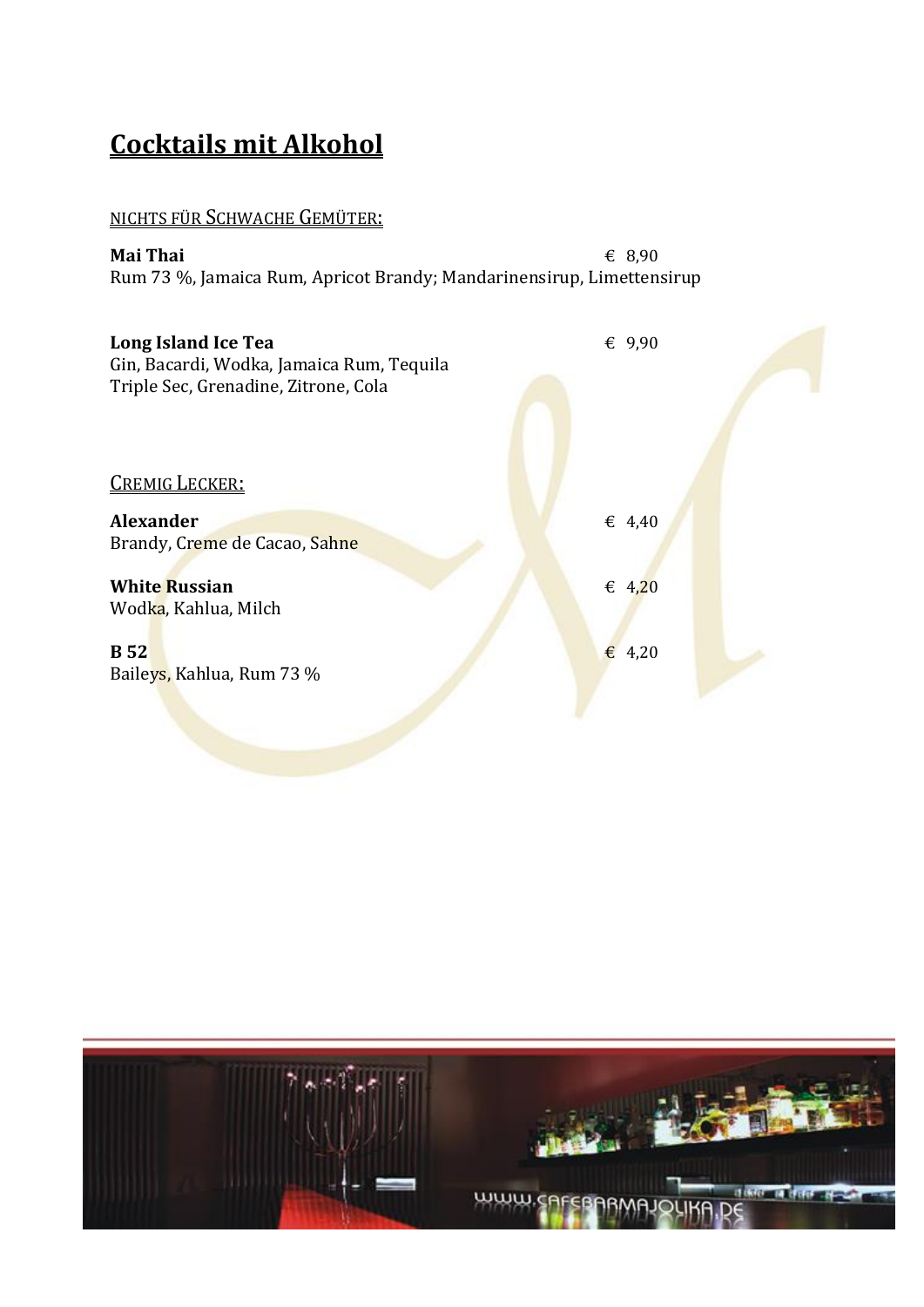## **Cocktails mit Alkohol**

#### NICHTS FÜR SCHWACHE GEMÜTER:

**Mai Thai**  $\epsilon$  8,90 Rum 73 %, Jamaica Rum, Apricot Brandy; Mandarinensirup, Limettensirup

| Long Island Ice Tea<br>Gin, Bacardi, Wodka, Jamaica Rum, Tequila<br>Triple Sec, Grenadine, Zitrone, Cola | € $9,90$        |  |
|----------------------------------------------------------------------------------------------------------|-----------------|--|
| <b>CREMIG LECKER:</b>                                                                                    |                 |  |
| <b>Alexander</b><br>Brandy, Creme de Cacao, Sahne                                                        | € 4,40          |  |
| <b>White Russian</b><br>Wodka, Kahlua, Milch                                                             | € 4,20          |  |
| <b>B</b> 52<br>Baileys, Kahlua, Rum 73 %                                                                 | $\epsilon$ 4,20 |  |